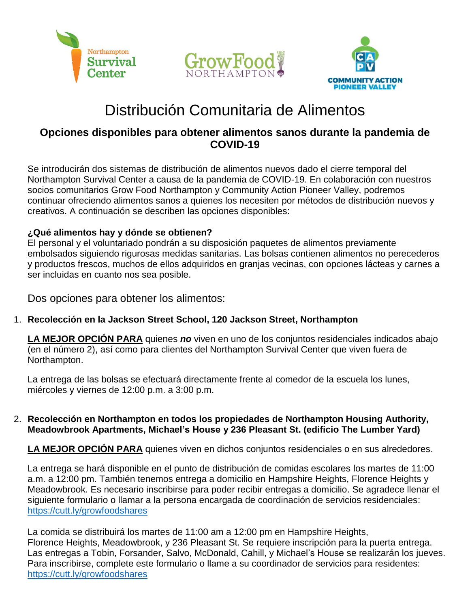





## Distribución Comunitaria de Alimentos

### **Opciones disponibles para obtener alimentos sanos durante la pandemia de COVID-19**

Se introducirán dos sistemas de distribución de alimentos nuevos dado el cierre temporal del Northampton Survival Center a causa de la pandemia de COVID-19. En colaboración con nuestros socios comunitarios Grow Food Northampton y Community Action Pioneer Valley, podremos continuar ofreciendo alimentos sanos a quienes los necesiten por métodos de distribución nuevos y creativos. A continuación se describen las opciones disponibles:

#### **¿Qué alimentos hay y dónde se obtienen?**

El personal y el voluntariado pondrán a su disposición paquetes de alimentos previamente embolsados siguiendo rigurosas medidas sanitarias. Las bolsas contienen alimentos no perecederos y productos frescos, muchos de ellos adquiridos en granjas vecinas, con opciones lácteas y carnes a ser incluidas en cuanto nos sea posible.

Dos opciones para obtener los alimentos:

1. **Recolección en la Jackson Street School, 120 Jackson Street, Northampton**

**LA MEJOR OPCIÓN PARA** quienes *no* viven en uno de los conjuntos residenciales indicados abajo (en el número 2), así como para clientes del Northampton Survival Center que viven fuera de Northampton.

La entrega de las bolsas se efectuará directamente frente al comedor de la escuela los lunes, miércoles y viernes de 12:00 p.m. a 3:00 p.m.

#### 2. **Recolección en Northampton en todos los propiedades de Northampton Housing Authority, Meadowbrook Apartments, Michael's House y 236 Pleasant St. (edificio The Lumber Yard)**

**LA MEJOR OPCIÓN PARA** quienes viven en dichos conjuntos residenciales o en sus alrededores.

La entrega se hará disponible en el punto de distribución de comidas escolares los martes de 11:00 a.m. a 12:00 pm. También tenemos entrega a domicilio en Hampshire Heights, Florence Heights y Meadowbrook. Es necesario inscribirse para poder recibir entregas a domicilio. Se agradece llenar el siguiente formulario o llamar a la persona encargada de coordinación de servicios residenciales: <https://cutt.ly/growfoodshares>

La comida se distribuirá los martes de 11:00 am a 12:00 pm en Hampshire Heights, Florence Heights, Meadowbrook, y 236 Pleasant St. Se requiere inscripción para la puerta entrega. Las entregas a Tobin, Forsander, Salvo, McDonald, Cahill, y Michael's House se realizarán los jueves. Para inscribirse, complete este formulario o llame a su coordinador de servicios para residentes: <https://cutt.ly/growfoodshares>